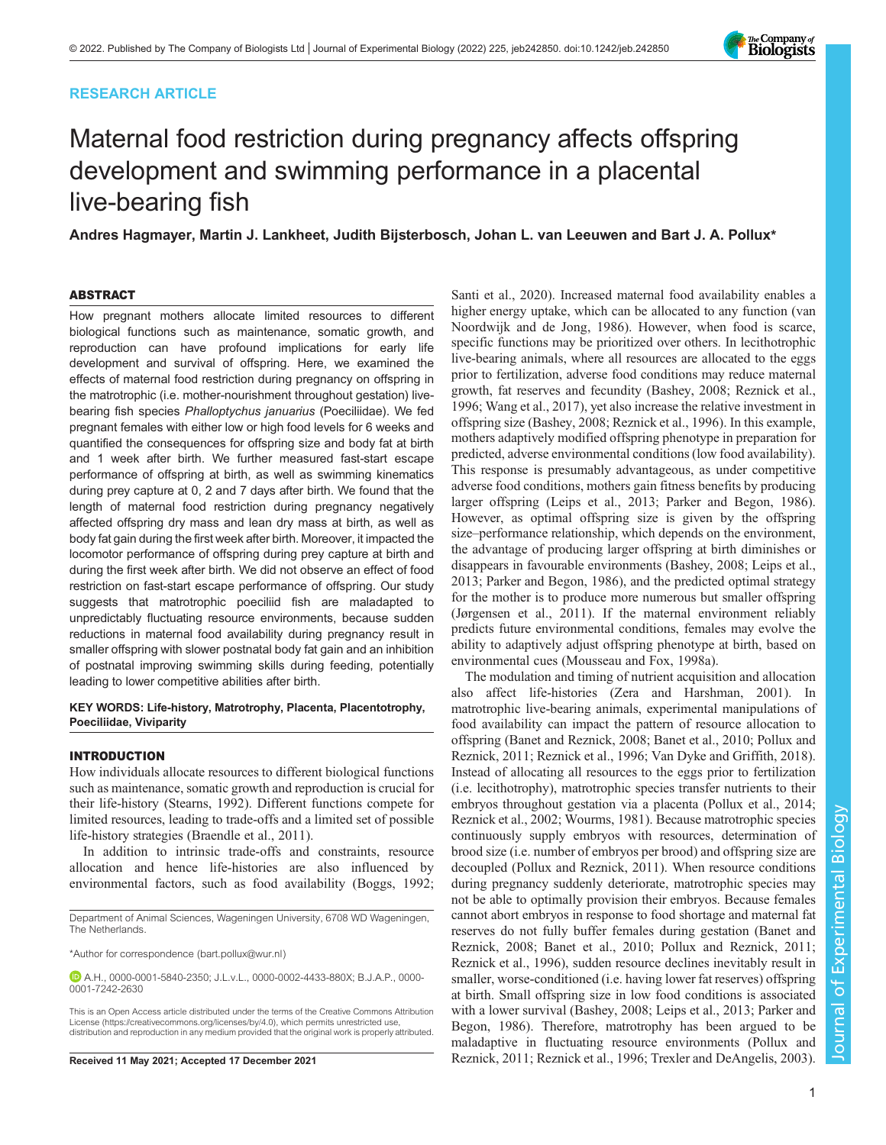## RESEARCH ARTICLE



Andres Hagmayer, Martin J. Lankheet, Judith Bijsterbosch, Johan L. van Leeuwen and Bart J. A. Pollux\*

## ABSTRACT

How pregnant mothers allocate limited resources to different biological functions such as maintenance, somatic growth, and reproduction can have profound implications for early life development and survival of offspring. Here, we examined the effects of maternal food restriction during pregnancy on offspring in the matrotrophic (i.e. mother-nourishment throughout gestation) livebearing fish species Phalloptychus januarius (Poeciliidae). We fed pregnant females with either low or high food levels for 6 weeks and quantified the consequences for offspring size and body fat at birth and 1 week after birth. We further measured fast-start escape performance of offspring at birth, as well as swimming kinematics during prey capture at 0, 2 and 7 days after birth. We found that the length of maternal food restriction during pregnancy negatively affected offspring dry mass and lean dry mass at birth, as well as body fat gain during the first week after birth. Moreover, it impacted the locomotor performance of offspring during prey capture at birth and during the first week after birth. We did not observe an effect of food restriction on fast-start escape performance of offspring. Our study suggests that matrotrophic poeciliid fish are maladapted to unpredictably fluctuating resource environments, because sudden reductions in maternal food availability during pregnancy result in smaller offspring with slower postnatal body fat gain and an inhibition of postnatal improving swimming skills during feeding, potentially leading to lower competitive abilities after birth.

#### KEY WORDS: Life-history, Matrotrophy, Placenta, Placentotrophy, Poeciliidae, Viviparity

### INTRODUCTION

How individuals allocate resources to different biological functions such as maintenance, somatic growth and reproduction is crucial for their life-history [\(Stearns, 1992\)](#page-8-0). Different functions compete for limited resources, leading to trade-offs and a limited set of possible life-history strategies [\(Braendle et al., 2011](#page-8-0)).

In addition to intrinsic trade-offs and constraints, resource allocation and hence life-histories are also influenced by environmental factors, such as food availability ([Boggs, 1992](#page-8-0);

[Santi et al., 2020\)](#page-8-0). Increased maternal food availability enables a higher energy uptake, which can be allocated to any function [\(van](#page-8-0) [Noordwijk and de Jong, 1986\)](#page-8-0). However, when food is scarce, specific functions may be prioritized over others. In lecithotrophic live-bearing animals, where all resources are allocated to the eggs prior to fertilization, adverse food conditions may reduce maternal growth, fat reserves and fecundity [\(Bashey, 2008](#page-8-0); [Reznick et al.,](#page-8-0) [1996;](#page-8-0) [Wang et al., 2017\)](#page-9-0), yet also increase the relative investment in offspring size [\(Bashey, 2008; Reznick et al., 1996](#page-8-0)). In this example, mothers adaptively modified offspring phenotype in preparation for predicted, adverse environmental conditions (low food availability). This response is presumably advantageous, as under competitive adverse food conditions, mothers gain fitness benefits by producing larger offspring ([Leips et al., 2013](#page-8-0); [Parker and Begon, 1986\)](#page-8-0). However, as optimal offspring size is given by the offspring size–performance relationship, which depends on the environment, the advantage of producing larger offspring at birth diminishes or disappears in favourable environments [\(Bashey, 2008; Leips et al.,](#page-8-0) [2013; Parker and Begon, 1986\)](#page-8-0), and the predicted optimal strategy for the mother is to produce more numerous but smaller offspring [\(Jørgensen et al., 2011\)](#page-8-0). If the maternal environment reliably predicts future environmental conditions, females may evolve the ability to adaptively adjust offspring phenotype at birth, based on environmental cues [\(Mousseau and Fox, 1998a\)](#page-8-0).

The modulation and timing of nutrient acquisition and allocation also affect life-histories ([Zera and Harshman, 2001\)](#page-9-0). In matrotrophic live-bearing animals, experimental manipulations of food availability can impact the pattern of resource allocation to offspring ([Banet and Reznick, 2008; Banet et al., 2010](#page-8-0); [Pollux and](#page-8-0) [Reznick, 2011](#page-8-0); [Reznick et al., 1996](#page-8-0); [Van Dyke and Griffith, 2018\)](#page-8-0). Instead of allocating all resources to the eggs prior to fertilization (i.e. lecithotrophy), matrotrophic species transfer nutrients to their embryos throughout gestation via a placenta [\(Pollux et al., 2014](#page-8-0); [Reznick et al., 2002;](#page-8-0) [Wourms, 1981\)](#page-9-0). Because matrotrophic species continuously supply embryos with resources, determination of brood size (i.e. number of embryos per brood) and offspring size are decoupled ([Pollux and Reznick, 2011](#page-8-0)). When resource conditions during pregnancy suddenly deteriorate, matrotrophic species may not be able to optimally provision their embryos. Because females cannot abort embryos in response to food shortage and maternal fat reserves do not fully buffer females during gestation ([Banet and](#page-8-0) [Reznick, 2008; Banet et al., 2010; Pollux and Reznick, 2011](#page-8-0); [Reznick et al., 1996\)](#page-8-0), sudden resource declines inevitably result in smaller, worse-conditioned (i.e. having lower fat reserves) offspring at birth. Small offspring size in low food conditions is associated with a lower survival [\(Bashey, 2008](#page-8-0); [Leips et al., 2013; Parker and](#page-8-0) [Begon, 1986\)](#page-8-0). Therefore, matrotrophy has been argued to be maladaptive in fluctuating resource environments [\(Pollux and](#page-8-0) Received 11 May 2021; Accepted 17 December 2021 [Reznick, 2011](#page-8-0); [Reznick et al., 1996](#page-8-0); [Trexler and DeAngelis, 2003\)](#page-8-0).



Department of Animal Sciences, Wageningen University, 6708 WD Wageningen, The Netherlands.

<sup>\*</sup>Author for correspondence [\(bart.pollux@wur.nl](mailto:bart.pollux@wur.nl))

A.H., [0000-0001-5840-2350](http://orcid.org/0000-0001-5840-2350); J.L.v.L., [0000-0002-4433-880X](http://orcid.org/0000-0002-4433-880X); B.J.A.P., [0000-](http://orcid.org/0000-0001-7242-2630) [0001-7242-2630](http://orcid.org/0000-0001-7242-2630)

This is an Open Access article distributed under the terms of the Creative Commons Attribution License (https://creativecommons.org/licenses/by/4.0), which permits unrestricted use, distribution and reproduction in any medium provided that the original work is properly attributed.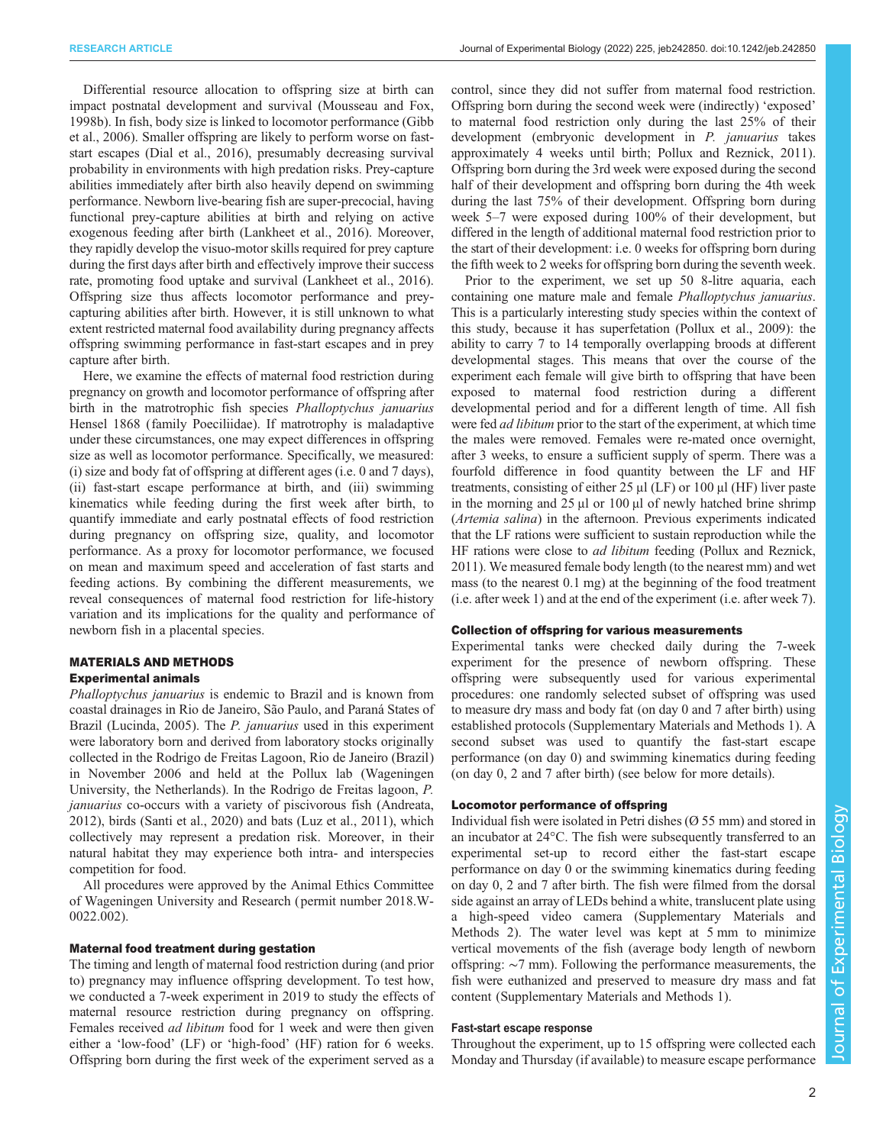Differential resource allocation to offspring size at birth can impact postnatal development and survival ([Mousseau and Fox,](#page-8-0) [1998b\)](#page-8-0). In fish, body size is linked to locomotor performance [\(Gibb](#page-8-0) [et al., 2006](#page-8-0)). Smaller offspring are likely to perform worse on faststart escapes [\(Dial et al., 2016\)](#page-8-0), presumably decreasing survival probability in environments with high predation risks. Prey-capture abilities immediately after birth also heavily depend on swimming performance. Newborn live-bearing fish are super-precocial, having functional prey-capture abilities at birth and relying on active exogenous feeding after birth ([Lankheet et al., 2016\)](#page-8-0). Moreover, they rapidly develop the visuo-motor skills required for prey capture during the first days after birth and effectively improve their success rate, promoting food uptake and survival [\(Lankheet et al., 2016\)](#page-8-0). Offspring size thus affects locomotor performance and preycapturing abilities after birth. However, it is still unknown to what extent restricted maternal food availability during pregnancy affects offspring swimming performance in fast-start escapes and in prey capture after birth.

Here, we examine the effects of maternal food restriction during pregnancy on growth and locomotor performance of offspring after birth in the matrotrophic fish species *Phalloptychus januarius* Hensel 1868 (family Poeciliidae). If matrotrophy is maladaptive under these circumstances, one may expect differences in offspring size as well as locomotor performance. Specifically, we measured: (i) size and body fat of offspring at different ages (i.e. 0 and 7 days), (ii) fast-start escape performance at birth, and (iii) swimming kinematics while feeding during the first week after birth, to quantify immediate and early postnatal effects of food restriction during pregnancy on offspring size, quality, and locomotor performance. As a proxy for locomotor performance, we focused on mean and maximum speed and acceleration of fast starts and feeding actions. By combining the different measurements, we reveal consequences of maternal food restriction for life-history variation and its implications for the quality and performance of newborn fish in a placental species.

# MATERIALS AND METHODS

## Experimental animals

Phalloptychus januarius is endemic to Brazil and is known from coastal drainages in Rio de Janeiro, São Paulo, and Paraná States of Brazil [\(Lucinda, 2005\)](#page-8-0). The *P. januarius* used in this experiment were laboratory born and derived from laboratory stocks originally collected in the Rodrigo de Freitas Lagoon, Rio de Janeiro (Brazil) in November 2006 and held at the Pollux lab (Wageningen University, the Netherlands). In the Rodrigo de Freitas lagoon, P. januarius co-occurs with a variety of piscivorous fish ([Andreata,](#page-8-0) [2012](#page-8-0)), birds [\(Santi et al., 2020\)](#page-8-0) and bats [\(Luz et al., 2011\)](#page-8-0), which collectively may represent a predation risk. Moreover, in their natural habitat they may experience both intra- and interspecies competition for food.

All procedures were approved by the Animal Ethics Committee of Wageningen University and Research ( permit number 2018.W-0022.002).

#### Maternal food treatment during gestation

The timing and length of maternal food restriction during (and prior to) pregnancy may influence offspring development. To test how, we conducted a 7-week experiment in 2019 to study the effects of maternal resource restriction during pregnancy on offspring. Females received ad libitum food for 1 week and were then given either a 'low-food' (LF) or 'high-food' (HF) ration for 6 weeks. Offspring born during the first week of the experiment served as a

control, since they did not suffer from maternal food restriction. Offspring born during the second week were (indirectly) 'exposed' to maternal food restriction only during the last 25% of their development (embryonic development in P. januarius takes approximately 4 weeks until birth; [Pollux and Reznick, 2011\)](#page-8-0). Offspring born during the 3rd week were exposed during the second half of their development and offspring born during the 4th week during the last 75% of their development. Offspring born during week 5–7 were exposed during 100% of their development, but differed in the length of additional maternal food restriction prior to the start of their development: i.e. 0 weeks for offspring born during the fifth week to 2 weeks for offspring born during the seventh week.

Prior to the experiment, we set up 50 8-litre aquaria, each containing one mature male and female Phalloptychus januarius. This is a particularly interesting study species within the context of this study, because it has superfetation [\(Pollux et al., 2009](#page-8-0)): the ability to carry 7 to 14 temporally overlapping broods at different developmental stages. This means that over the course of the experiment each female will give birth to offspring that have been exposed to maternal food restriction during a different developmental period and for a different length of time. All fish were fed ad libitum prior to the start of the experiment, at which time the males were removed. Females were re-mated once overnight, after 3 weeks, to ensure a sufficient supply of sperm. There was a fourfold difference in food quantity between the LF and HF treatments, consisting of either 25  $\mu$ l (LF) or 100  $\mu$ l (HF) liver paste in the morning and 25 μl or 100 μl of newly hatched brine shrimp (Artemia salina) in the afternoon. Previous experiments indicated that the LF rations were sufficient to sustain reproduction while the HF rations were close to ad libitum feeding ([Pollux and Reznick,](#page-8-0) [2011\)](#page-8-0). We measured female body length (to the nearest mm) and wet mass (to the nearest 0.1 mg) at the beginning of the food treatment (i.e. after week 1) and at the end of the experiment (i.e. after week 7).

#### Collection of offspring for various measurements

Experimental tanks were checked daily during the 7-week experiment for the presence of newborn offspring. These offspring were subsequently used for various experimental procedures: one randomly selected subset of offspring was used to measure dry mass and body fat (on day 0 and 7 after birth) using established protocols [\(Supplementary Materials and Methods 1](https://journals.biologists.com/jeb/article-lookup/DOI/10.1242/jeb.242850)). A second subset was used to quantify the fast-start escape performance (on day 0) and swimming kinematics during feeding (on day 0, 2 and 7 after birth) (see below for more details).

### Locomotor performance of offspring

Individual fish were isolated in Petri dishes (Ø 55 mm) and stored in an incubator at 24°C. The fish were subsequently transferred to an experimental set-up to record either the fast-start escape performance on day 0 or the swimming kinematics during feeding on day 0, 2 and 7 after birth. The fish were filmed from the dorsal side against an array of LEDs behind a white, translucent plate using a high-speed video camera ([Supplementary Materials and](https://journals.biologists.com/jeb/article-lookup/DOI/10.1242/jeb.242850) [Methods 2](https://journals.biologists.com/jeb/article-lookup/DOI/10.1242/jeb.242850)). The water level was kept at 5 mm to minimize vertical movements of the fish (average body length of newborn offspring: ∼7 mm). Following the performance measurements, the fish were euthanized and preserved to measure dry mass and fat content ([Supplementary Materials and Methods 1](https://journals.biologists.com/jeb/article-lookup/DOI/10.1242/jeb.242850)).

## Fast-start escape response

Throughout the experiment, up to 15 offspring were collected each Monday and Thursday (if available) to measure escape performance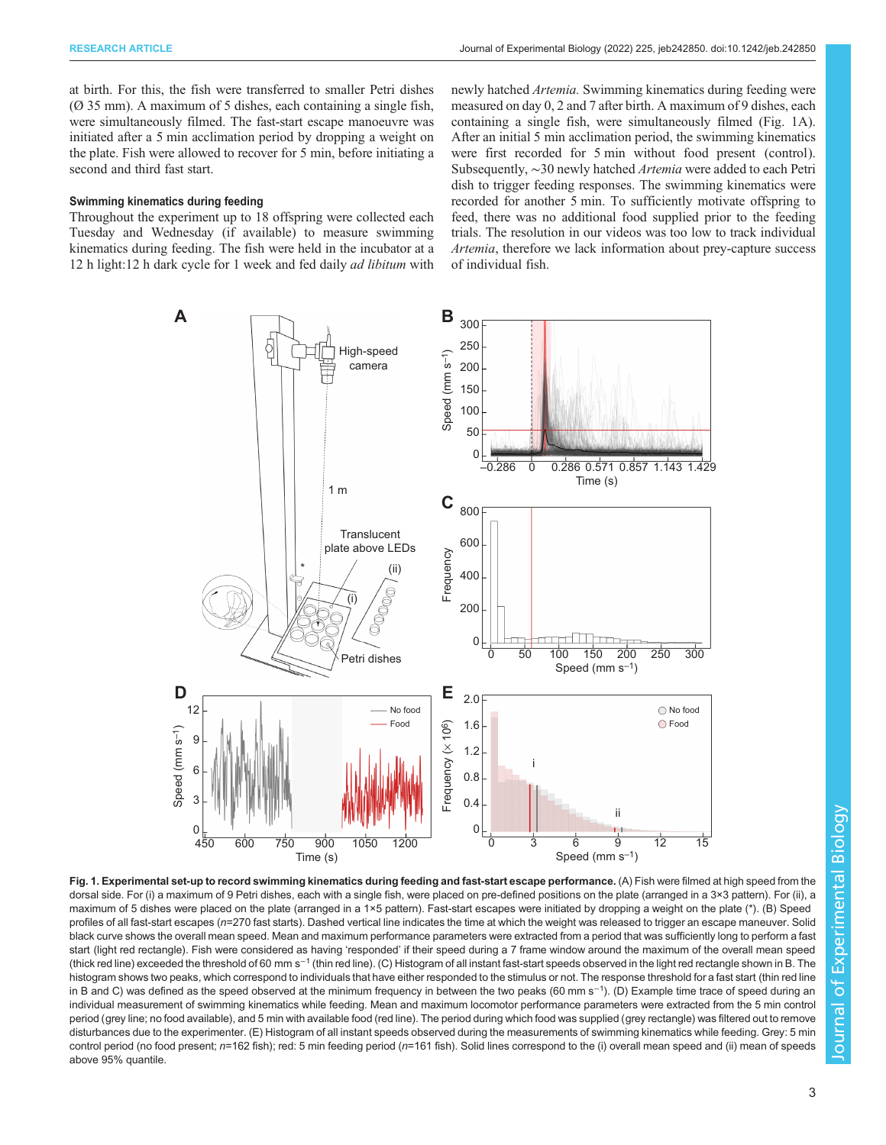<span id="page-2-0"></span>at birth. For this, the fish were transferred to smaller Petri dishes (Ø 35 mm). A maximum of 5 dishes, each containing a single fish, were simultaneously filmed. The fast-start escape manoeuvre was initiated after a 5 min acclimation period by dropping a weight on the plate. Fish were allowed to recover for 5 min, before initiating a second and third fast start.

#### Swimming kinematics during feeding

Throughout the experiment up to 18 offspring were collected each Tuesday and Wednesday (if available) to measure swimming kinematics during feeding. The fish were held in the incubator at a 12 h light:12 h dark cycle for 1 week and fed daily ad libitum with newly hatched Artemia. Swimming kinematics during feeding were measured on day 0, 2 and 7 after birth. A maximum of 9 dishes, each containing a single fish, were simultaneously filmed (Fig. 1A). After an initial 5 min acclimation period, the swimming kinematics were first recorded for 5 min without food present (control). Subsequently, ∼30 newly hatched Artemia were added to each Petri dish to trigger feeding responses. The swimming kinematics were recorded for another 5 min. To sufficiently motivate offspring to feed, there was no additional food supplied prior to the feeding trials. The resolution in our videos was too low to track individual Artemia, therefore we lack information about prey-capture success of individual fish.



Fig. 1. Experimental set-up to record swimming kinematics during feeding and fast-start escape performance. (A) Fish were filmed at high speed from the dorsal side. For (i) a maximum of 9 Petri dishes, each with a single fish, were placed on pre-defined positions on the plate (arranged in a 3×3 pattern). For (ii), a maximum of 5 dishes were placed on the plate (arranged in a 1×5 pattern). Fast-start escapes were initiated by dropping a weight on the plate (\*). (B) Speed profiles of all fast-start escapes (n=270 fast starts). Dashed vertical line indicates the time at which the weight was released to trigger an escape maneuver. Solid black curve shows the overall mean speed. Mean and maximum performance parameters were extracted from a period that was sufficiently long to perform a fast start (light red rectangle). Fish were considered as having 'responded' if their speed during a 7 frame window around the maximum of the overall mean speed (thick red line) exceeded the threshold of 60 mm s<sup>−1</sup> (thin red line). (C) Histogram of all instant fast-start speeds observed in the light red rectangle shown in B. The histogram shows two peaks, which correspond to individuals that have either responded to the stimulus or not. The response threshold for a fast start (thin red line in B and C) was defined as the speed observed at the minimum frequency in between the two peaks (60 mm s−<sup>1</sup> ). (D) Example time trace of speed during an individual measurement of swimming kinematics while feeding. Mean and maximum locomotor performance parameters were extracted from the 5 min control period (grey line; no food available), and 5 min with available food (red line). The period during which food was supplied (grey rectangle) was filtered out to remove disturbances due to the experimenter. (E) Histogram of all instant speeds observed during the measurements of swimming kinematics while feeding. Grey: 5 min control period (no food present; n=162 fish); red: 5 min feeding period (n=161 fish). Solid lines correspond to the (i) overall mean speed and (ii) mean of speeds above 95% quantile.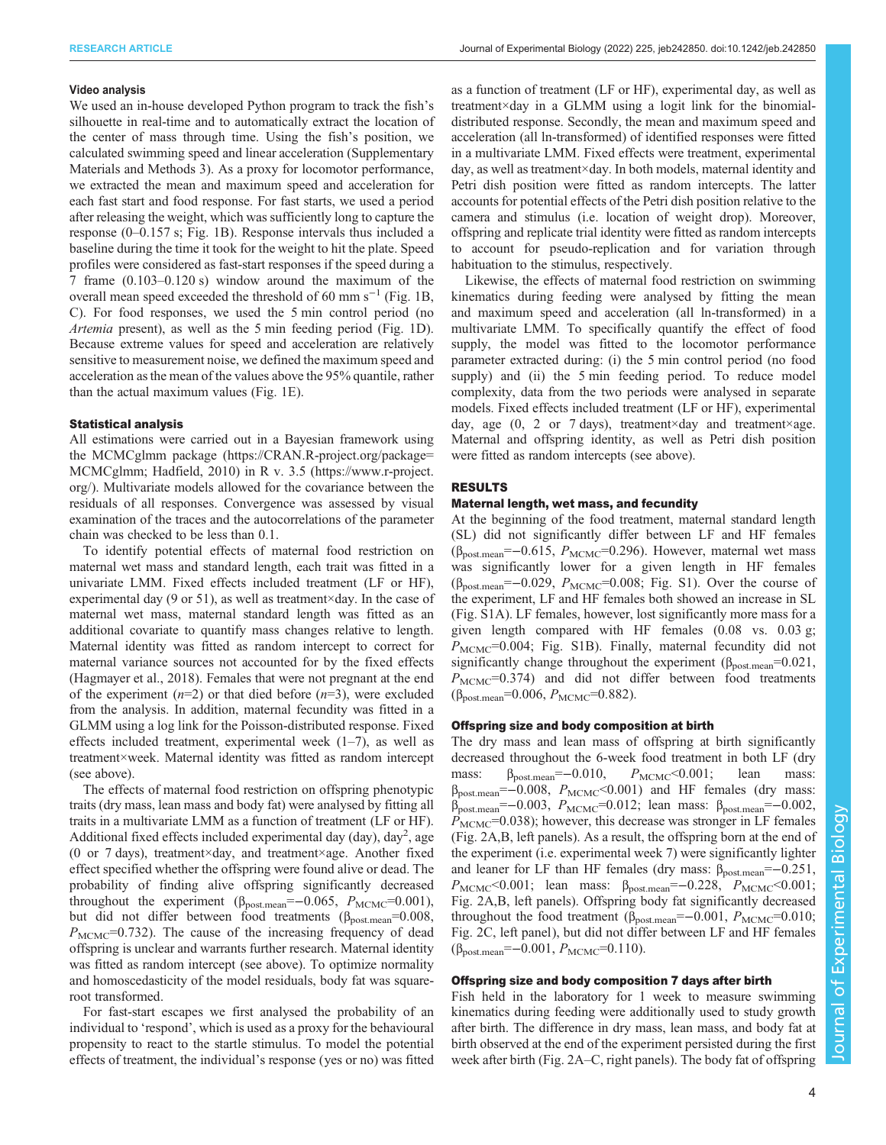#### Video analysis

We used an in-house developed Python program to track the fish's silhouette in real-time and to automatically extract the location of the center of mass through time. Using the fish's position, we calculated swimming speed and linear acceleration ([Supplementary](https://journals.biologists.com/jeb/article-lookup/DOI/10.1242/jeb.242850) [Materials and Methods 3\)](https://journals.biologists.com/jeb/article-lookup/DOI/10.1242/jeb.242850). As a proxy for locomotor performance, we extracted the mean and maximum speed and acceleration for each fast start and food response. For fast starts, we used a period after releasing the weight, which was sufficiently long to capture the response (0–0.157 s; [Fig. 1](#page-2-0)B). Response intervals thus included a baseline during the time it took for the weight to hit the plate. Speed profiles were considered as fast-start responses if the speed during a 7 frame (0.103–0.120 s) window around the maximum of the overall mean speed exceeded the threshold of 60 mm s−<sup>1</sup> [\(Fig. 1](#page-2-0)B, C). For food responses, we used the 5 min control period (no Artemia present), as well as the 5 min feeding period [\(Fig. 1D](#page-2-0)). Because extreme values for speed and acceleration are relatively sensitive to measurement noise, we defined the maximum speed and acceleration as the mean of the values above the 95% quantile, rather than the actual maximum values ([Fig. 1](#page-2-0)E).

#### Statistical analysis

All estimations were carried out in a Bayesian framework using the MCMCglmm package [\(https://CRAN.R-project.org/package=](https://cran.r-project.org/package=MCMCglmm) [MCMCglmm;](https://cran.r-project.org/package=MCMCglmm) [Hadfield, 2010\)](#page-8-0) in R v. 3.5 ([https://www.r-project.](https://www.r-project.org) [org/](https://www.r-project.org)). Multivariate models allowed for the covariance between the residuals of all responses. Convergence was assessed by visual examination of the traces and the autocorrelations of the parameter chain was checked to be less than 0.1.

To identify potential effects of maternal food restriction on maternal wet mass and standard length, each trait was fitted in a univariate LMM. Fixed effects included treatment (LF or HF), experimental day (9 or 51), as well as treatment×day. In the case of maternal wet mass, maternal standard length was fitted as an additional covariate to quantify mass changes relative to length. Maternal identity was fitted as random intercept to correct for maternal variance sources not accounted for by the fixed effects [\(Hagmayer et al., 2018\)](#page-8-0). Females that were not pregnant at the end of the experiment  $(n=2)$  or that died before  $(n=3)$ , were excluded from the analysis. In addition, maternal fecundity was fitted in a GLMM using a log link for the Poisson-distributed response. Fixed effects included treatment, experimental week  $(1-7)$ , as well as treatment×week. Maternal identity was fitted as random intercept (see above).

The effects of maternal food restriction on offspring phenotypic traits (dry mass, lean mass and body fat) were analysed by fitting all traits in a multivariate LMM as a function of treatment (LF or HF). Additional fixed effects included experimental day (day), day<sup>2</sup>, age (0 or 7 days), treatment×day, and treatment×age. Another fixed effect specified whether the offspring were found alive or dead. The probability of finding alive offspring significantly decreased throughout the experiment ( $\beta_{\text{post.mean}} = -0.065$ ,  $P_{\text{MCMC}} = 0.001$ ), but did not differ between food treatments ( $\beta_{\text{postmean}}$ =0.008,  $P_{\text{MCMC}}$ =0.732). The cause of the increasing frequency of dead offspring is unclear and warrants further research. Maternal identity was fitted as random intercept (see above). To optimize normality and homoscedasticity of the model residuals, body fat was squareroot transformed.

For fast-start escapes we first analysed the probability of an individual to 'respond', which is used as a proxy for the behavioural propensity to react to the startle stimulus. To model the potential effects of treatment, the individual's response (yes or no) was fitted

as a function of treatment (LF or HF), experimental day, as well as treatment×day in a GLMM using a logit link for the binomialdistributed response. Secondly, the mean and maximum speed and acceleration (all ln-transformed) of identified responses were fitted in a multivariate LMM. Fixed effects were treatment, experimental day, as well as treatment×day. In both models, maternal identity and Petri dish position were fitted as random intercepts. The latter accounts for potential effects of the Petri dish position relative to the camera and stimulus (i.e. location of weight drop). Moreover, offspring and replicate trial identity were fitted as random intercepts to account for pseudo-replication and for variation through habituation to the stimulus, respectively.

Likewise, the effects of maternal food restriction on swimming kinematics during feeding were analysed by fitting the mean and maximum speed and acceleration (all ln-transformed) in a multivariate LMM. To specifically quantify the effect of food supply, the model was fitted to the locomotor performance parameter extracted during: (i) the 5 min control period (no food supply) and (ii) the 5 min feeding period. To reduce model complexity, data from the two periods were analysed in separate models. Fixed effects included treatment (LF or HF), experimental day, age  $(0, 2 \text{ or } 7 \text{ days})$ , treatment×day and treatment×age. Maternal and offspring identity, as well as Petri dish position were fitted as random intercepts (see above).

### RESULTS

## Maternal length, wet mass, and fecundity

At the beginning of the food treatment, maternal standard length (SL) did not significantly differ between LF and HF females ( $\beta_{\text{post-mean}}$ =−0.615,  $P_{\text{MCMC}}$ =0.296). However, maternal wet mass was significantly lower for a given length in HF females  $(\beta_{\text{post-mean}}=-0.029, P_{\text{MCMC}}=0.008; \text{ Fig. S1}).$  Over the course of the experiment, LF and HF females both showed an increase in SL [\(Fig. S1A](https://journals.biologists.com/jeb/article-lookup/DOI/10.1242/jeb.242850)). LF females, however, lost significantly more mass for a given length compared with HF females (0.08 vs. 0.03 g;  $P_{\text{MCMC}}$ =0.004; [Fig. S1B](https://journals.biologists.com/jeb/article-lookup/DOI/10.1242/jeb.242850)). Finally, maternal fecundity did not significantly change throughout the experiment  $(\beta_{\text{post-mean}}=0.021,$  $P_{\text{MCMC}}$ =0.374) and did not differ between food treatments  $(\beta_{\text{post.mean}}=0.006, P_{\text{MCMC}}=0.882).$ 

#### Offspring size and body composition at birth

The dry mass and lean mass of offspring at birth significantly decreased throughout the 6-week food treatment in both LF (dry mass:  $\beta_{\text{post-mean}} = -0.010$ ,  $P_{\text{MCMC}} < 0.001$ ; lean mass:  $\beta_{\text{postmean}} = -0.008$ ,  $P_{\text{MCMC}} < 0.001$ ) and HF females (dry mass:  $β<sub>postmean</sub> = -0.003, P<sub>MCMC</sub> = 0.012$ ; lean mass:  $β<sub>post-mean</sub> = -0.002$ ,  $P<sub>MCMC</sub>=0.038$ ; however, this decrease was stronger in LF females [\(Fig. 2](#page-4-0)A,B, left panels). As a result, the offspring born at the end of the experiment (i.e. experimental week 7) were significantly lighter and leaner for LF than HF females (dry mass:  $\beta_{\text{postmean}} = -0.251$ ,  $P_{MCMC}$ <0.001; lean mass:  $\beta_{\text{post-mean}}$ =-0.228,  $P_{MCMC}$ <0.001; [Fig. 2A](#page-4-0),B, left panels). Offspring body fat significantly decreased throughout the food treatment ( $\beta_{\text{post-mean}} = -0.001$ ,  $P_{\text{MCMC}} = 0.010$ ; [Fig. 2](#page-4-0)C, left panel), but did not differ between LF and HF females  $(\beta_{\text{post.mean}}=-0.001, P_{\text{MCMC}}=0.110).$ 

#### Offspring size and body composition 7 days after birth

Fish held in the laboratory for 1 week to measure swimming kinematics during feeding were additionally used to study growth after birth. The difference in dry mass, lean mass, and body fat at birth observed at the end of the experiment persisted during the first week after birth [\(Fig. 2A](#page-4-0)–C, right panels). The body fat of offspring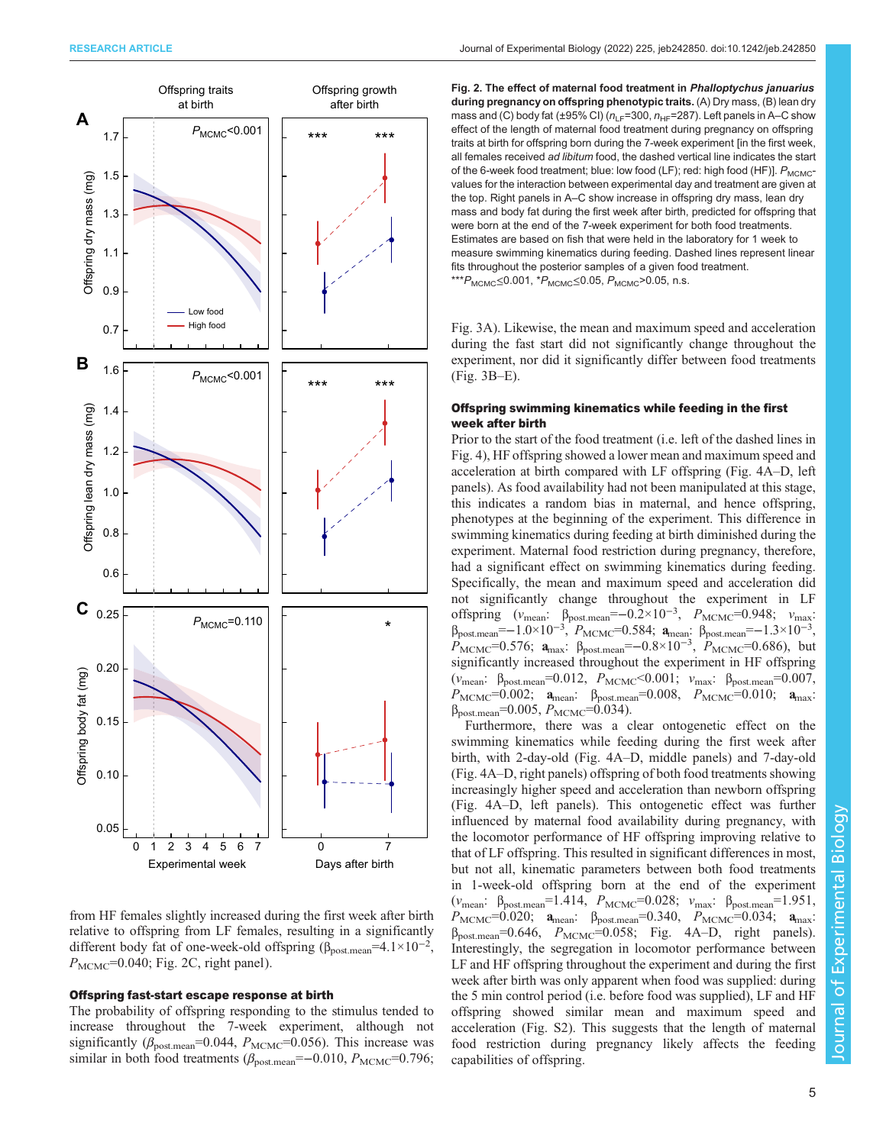<span id="page-4-0"></span>

from HF females slightly increased during the first week after birth relative to offspring from LF females, resulting in a significantly different body fat of one-week-old offspring ( $\beta_{\text{post.mean}} = 4.1 \times 10^{-2}$ ,  $P_{\text{MCMC}}$ =0.040; Fig. 2C, right panel).

#### Offspring fast-start escape response at birth

The probability of offspring responding to the stimulus tended to increase throughout the 7-week experiment, although not significantly ( $\beta_{\text{post-mean}}$ =0.044,  $P_{\text{MCMC}}$ =0.056). This increase was similar in both food treatments ( $\beta_{\text{post-mean}}$ =-0.010,  $P_{\text{MCMC}}$ =0.796; Fig. 2. The effect of maternal food treatment in Phalloptychus januarius during pregnancy on offspring phenotypic traits. (A) Dry mass, (B) lean dry mass and (C) body fat (±95% CI) ( $n_{LF}=300$ ,  $n_{HF}=287$ ). Left panels in A–C show effect of the length of maternal food treatment during pregnancy on offspring traits at birth for offspring born during the 7-week experiment [in the first week, all females received ad libitum food, the dashed vertical line indicates the start of the 6-week food treatment; blue: low food (LF); red: high food (HF)].  $P_{MCMC}$ values for the interaction between experimental day and treatment are given at the top. Right panels in A–C show increase in offspring dry mass, lean dry mass and body fat during the first week after birth, predicted for offspring that were born at the end of the 7-week experiment for both food treatments. Estimates are based on fish that were held in the laboratory for 1 week to measure swimming kinematics during feeding. Dashed lines represent linear fits throughout the posterior samples of a given food treatment.  $**P_{MCMC}$ ≤0.001,  $*P_{MCMC}$ ≤0.05,  $P_{MCMC}$ >0.05, n.s.

[Fig. 3A](#page-5-0)). Likewise, the mean and maximum speed and acceleration during the fast start did not significantly change throughout the experiment, nor did it significantly differ between food treatments [\(Fig. 3](#page-5-0)B–E).

### Offspring swimming kinematics while feeding in the first week after birth

Prior to the start of the food treatment (i.e. left of the dashed lines in [Fig. 4](#page-6-0)), HF offspring showed a lower mean and maximum speed and acceleration at birth compared with LF offspring ([Fig. 4A](#page-6-0)–D, left panels). As food availability had not been manipulated at this stage, this indicates a random bias in maternal, and hence offspring, phenotypes at the beginning of the experiment. This difference in swimming kinematics during feeding at birth diminished during the experiment. Maternal food restriction during pregnancy, therefore, had a significant effect on swimming kinematics during feeding. Specifically, the mean and maximum speed and acceleration did not significantly change throughout the experiment in LF offspring  $(v_{\text{mean}}: \beta_{\text{post-mean}} = -0.2 \times 10^{-3}, P_{\text{MCMC}} = 0.948; v_{\text{max}}:$  $β<sub>post.mean</sub> = -1.0×10<sup>-3</sup>, P<sub>MCMC</sub> = 0.584; **a**<sub>mean</sub>: β<sub>post.mean</sub> = -1.3×10<sup>-3</sup>,$  $P_{\text{MCMC}}$ =0.576;  $a_{\text{max}}$ :  $\beta_{\text{postmean}}$ =-0.8×10<sup>-3</sup>,  $P_{\text{MCMC}}$ =0.686), but significantly increased throughout the experiment in HF offspring  $(v_{\text{mean}}: \beta_{\text{post-mean}}=0.012, P_{\text{MCMC}}<0.001; v_{\text{max}}: \beta_{\text{post-mean}}=0.007,$  $P_{\text{MCMC}}$ =0.002;  $a_{\text{mean}}$ :  $\beta_{\text{post-mean}}$ =0.008,  $P_{\text{MCMC}}$ =0.010;  $a_{\text{max}}$ :  $β<sub>post-mean</sub>=0.005, P<sub>MCMC</sub>=0.034).$ 

Furthermore, there was a clear ontogenetic effect on the swimming kinematics while feeding during the first week after birth, with 2-day-old [\(Fig. 4A](#page-6-0)–D, middle panels) and 7-day-old [\(Fig. 4A](#page-6-0)–D, right panels) offspring of both food treatments showing increasingly higher speed and acceleration than newborn offspring [\(Fig. 4](#page-6-0)A–D, left panels). This ontogenetic effect was further influenced by maternal food availability during pregnancy, with the locomotor performance of HF offspring improving relative to that of LF offspring. This resulted in significant differences in most, but not all, kinematic parameters between both food treatments in 1-week-old offspring born at the end of the experiment ( $v_{\text{mean}}$ :  $\beta_{\text{post-mean}}$ =1.414,  $P_{\text{MCMC}}$ =0.028;  $v_{\text{max}}$ :  $\beta_{\text{post-mean}}$ =1.951,  $P_{\text{MCMC}}$ =0.020;  $\mathbf{a}_{\text{mean}}$ :  $\beta_{\text{post-mean}}$ =0.340,  $P_{\text{MCMC}}$ =0.034;  $\mathbf{a}_{\text{max}}$ :  $\beta_{\text{post.mean}} = 0.646$ ,  $P_{\text{MCMC}} = 0.058$ ; [Fig. 4](#page-6-0)A–D, right panels). Interestingly, the segregation in locomotor performance between LF and HF offspring throughout the experiment and during the first week after birth was only apparent when food was supplied: during the 5 min control period (i.e. before food was supplied), LF and HF offspring showed similar mean and maximum speed and acceleration ([Fig. S2\)](https://journals.biologists.com/jeb/article-lookup/DOI/10.1242/jeb.242850). This suggests that the length of maternal food restriction during pregnancy likely affects the feeding capabilities of offspring.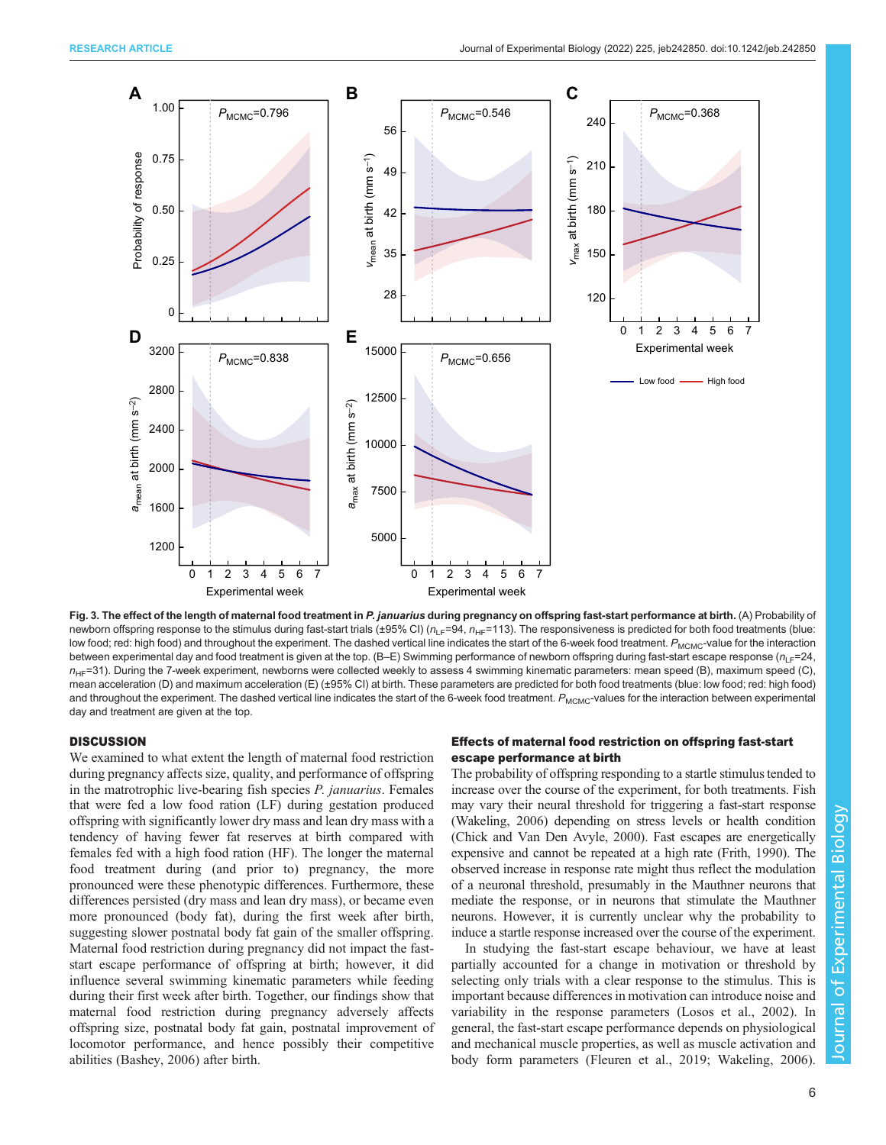<span id="page-5-0"></span>

Fig. 3. The effect of the length of maternal food treatment in P. januarius during pregnancy on offspring fast-start performance at birth. (A) Probability of newborn offspring response to the stimulus during fast-start trials (±95% CI) ( $n_{LF}=94$ ,  $n_{HF}=113$ ). The responsiveness is predicted for both food treatments (blue: low food; red: high food) and throughout the experiment. The dashed vertical line indicates the start of the 6-week food treatment. P<sub>MCMC</sub>-value for the interaction between experimental day and food treatment is given at the top. (B-E) Swimming performance of newborn offspring during fast-start escape response ( $n_1_F=24$ ,  $n_{HF}=31$ ). During the 7-week experiment, newborns were collected weekly to assess 4 swimming kinematic parameters: mean speed (B), maximum speed (C), mean acceleration (D) and maximum acceleration (E) (±95% CI) at birth. These parameters are predicted for both food treatments (blue: low food; red: high food) and throughout the experiment. The dashed vertical line indicates the start of the 6-week food treatment. P<sub>MCMC</sub>-values for the interaction between experimental day and treatment are given at the top.

## **DISCUSSION**

We examined to what extent the length of maternal food restriction during pregnancy affects size, quality, and performance of offspring in the matrotrophic live-bearing fish species P. januarius. Females that were fed a low food ration (LF) during gestation produced offspring with significantly lower dry mass and lean dry mass with a tendency of having fewer fat reserves at birth compared with females fed with a high food ration (HF). The longer the maternal food treatment during (and prior to) pregnancy, the more pronounced were these phenotypic differences. Furthermore, these differences persisted (dry mass and lean dry mass), or became even more pronounced (body fat), during the first week after birth, suggesting slower postnatal body fat gain of the smaller offspring. Maternal food restriction during pregnancy did not impact the faststart escape performance of offspring at birth; however, it did influence several swimming kinematic parameters while feeding during their first week after birth. Together, our findings show that maternal food restriction during pregnancy adversely affects offspring size, postnatal body fat gain, postnatal improvement of locomotor performance, and hence possibly their competitive abilities [\(Bashey, 2006\)](#page-8-0) after birth.

## Effects of maternal food restriction on offspring fast-start escape performance at birth

The probability of offspring responding to a startle stimulus tended to increase over the course of the experiment, for both treatments. Fish may vary their neural threshold for triggering a fast-start response [\(Wakeling, 2006\)](#page-9-0) depending on stress levels or health condition [\(Chick and Van Den Avyle, 2000\)](#page-8-0). Fast escapes are energetically expensive and cannot be repeated at a high rate [\(Frith, 1990\)](#page-8-0). The observed increase in response rate might thus reflect the modulation of a neuronal threshold, presumably in the Mauthner neurons that mediate the response, or in neurons that stimulate the Mauthner neurons. However, it is currently unclear why the probability to induce a startle response increased over the course of the experiment.

In studying the fast-start escape behaviour, we have at least partially accounted for a change in motivation or threshold by selecting only trials with a clear response to the stimulus. This is important because differences in motivation can introduce noise and variability in the response parameters [\(Losos et al., 2002\)](#page-8-0). In general, the fast-start escape performance depends on physiological and mechanical muscle properties, as well as muscle activation and body form parameters [\(Fleuren et al., 2019;](#page-8-0) [Wakeling, 2006\)](#page-9-0).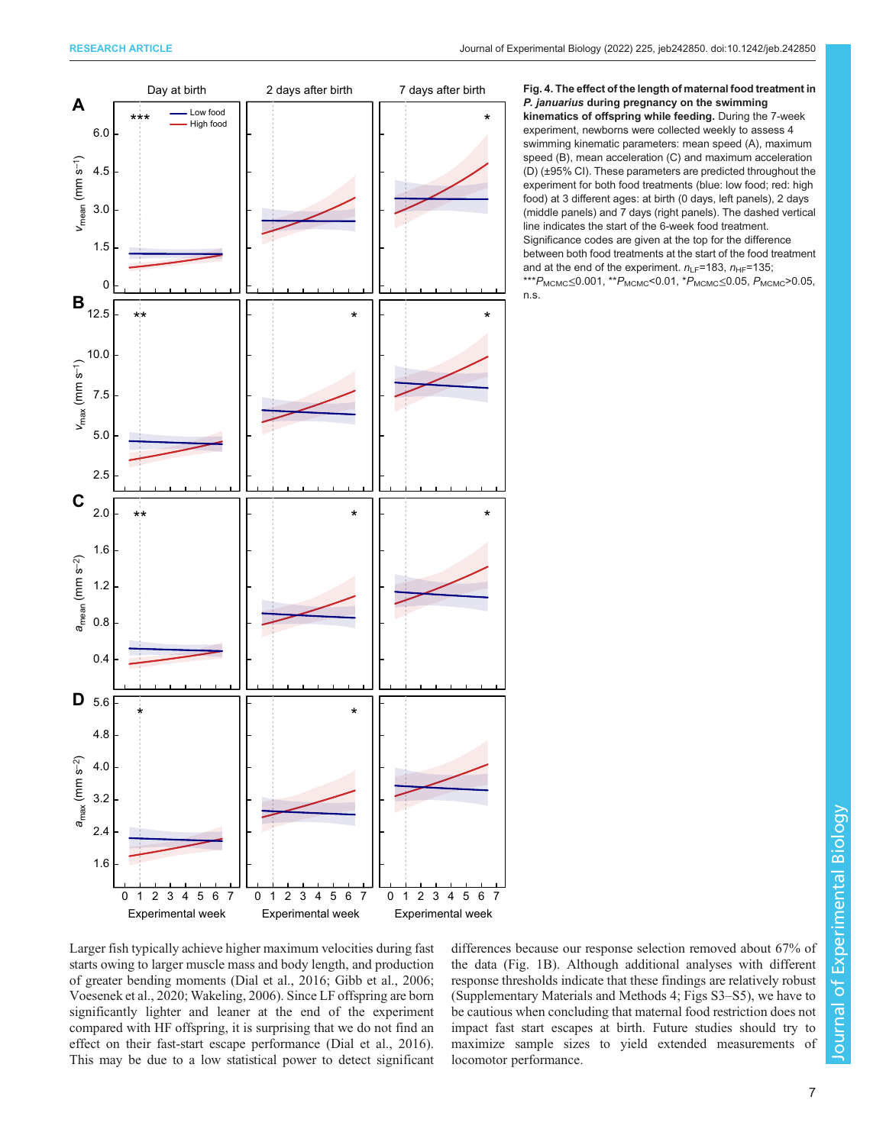<span id="page-6-0"></span>

Fig. 4. The effect of the length of maternal food treatment in P. januarius during pregnancy on the swimming kinematics of offspring while feeding. During the 7-week experiment, newborns were collected weekly to assess 4 swimming kinematic parameters: mean speed (A), maximum speed (B), mean acceleration (C) and maximum acceleration (D) (±95% CI). These parameters are predicted throughout the experiment for both food treatments (blue: low food; red: high food) at 3 different ages: at birth (0 days, left panels), 2 days (middle panels) and 7 days (right panels). The dashed vertical line indicates the start of the 6-week food treatment. Significance codes are given at the top for the difference between both food treatments at the start of the food treatment and at the end of the experiment.  $n_{\text{LE}}=183$ ,  $n_{\text{HE}}=135$ ; \*\*\* $P_{\text{MCMC}}$ ≤0.001, \*\* $P_{\text{MCMC}}$ <0.01, \* $P_{\text{MCMC}}$ ≤0.05,  $P_{\text{MCMC}}$ >0.05, n.s.

Larger fish typically achieve higher maximum velocities during fast starts owing to larger muscle mass and body length, and production of greater bending moments ([Dial et al., 2016; Gibb et al., 2006](#page-8-0); [Voesenek et al., 2020](#page-9-0); [Wakeling, 2006\)](#page-9-0). Since LF offspring are born significantly lighter and leaner at the end of the experiment compared with HF offspring, it is surprising that we do not find an effect on their fast-start escape performance ([Dial et al., 2016\)](#page-8-0). This may be due to a low statistical power to detect significant

differences because our response selection removed about 67% of the data [\(Fig. 1](#page-2-0)B). Although additional analyses with different response thresholds indicate that these findings are relatively robust [\(Supplementary Materials and Methods 4; Figs S3](https://journals.biologists.com/jeb/article-lookup/DOI/10.1242/jeb.242850)–S5), we have to be cautious when concluding that maternal food restriction does not impact fast start escapes at birth. Future studies should try to maximize sample sizes to yield extended measurements of locomotor performance.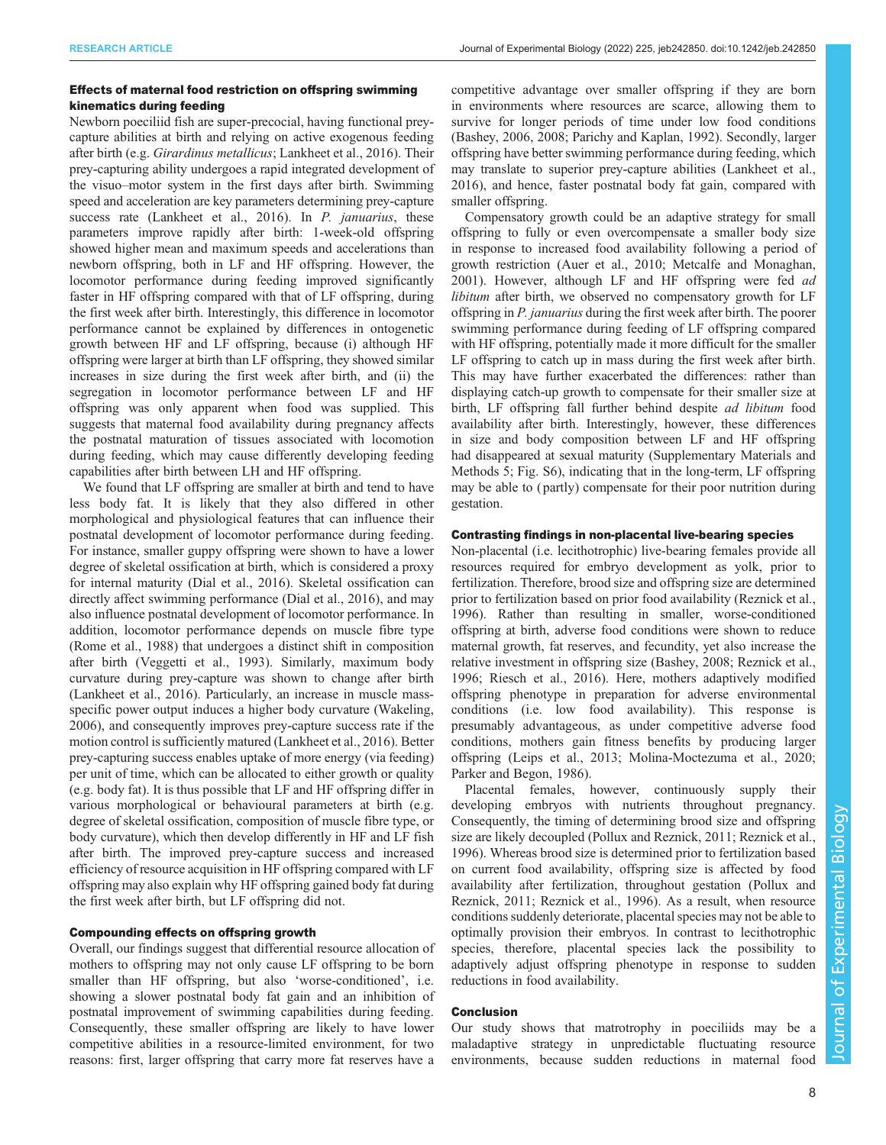## Effects of maternal food restriction on offspring swimming kinematics during feeding

Newborn poeciliid fish are super-precocial, having functional preycapture abilities at birth and relying on active exogenous feeding after birth (e.g. Girardinus metallicus; [Lankheet et al., 2016](#page-8-0)). Their prey-capturing ability undergoes a rapid integrated development of the visuo–motor system in the first days after birth. Swimming speed and acceleration are key parameters determining prey-capture success rate [\(Lankheet et al., 2016](#page-8-0)). In *P. januarius*, these parameters improve rapidly after birth: 1-week-old offspring showed higher mean and maximum speeds and accelerations than newborn offspring, both in LF and HF offspring. However, the locomotor performance during feeding improved significantly faster in HF offspring compared with that of LF offspring, during the first week after birth. Interestingly, this difference in locomotor performance cannot be explained by differences in ontogenetic growth between HF and LF offspring, because (i) although HF offspring were larger at birth than LF offspring, they showed similar increases in size during the first week after birth, and (ii) the segregation in locomotor performance between LF and HF offspring was only apparent when food was supplied. This suggests that maternal food availability during pregnancy affects the postnatal maturation of tissues associated with locomotion during feeding, which may cause differently developing feeding capabilities after birth between LH and HF offspring.

We found that LF offspring are smaller at birth and tend to have less body fat. It is likely that they also differed in other morphological and physiological features that can influence their postnatal development of locomotor performance during feeding. For instance, smaller guppy offspring were shown to have a lower degree of skeletal ossification at birth, which is considered a proxy for internal maturity [\(Dial et al., 2016](#page-8-0)). Skeletal ossification can directly affect swimming performance [\(Dial et al., 2016\)](#page-8-0), and may also influence postnatal development of locomotor performance. In addition, locomotor performance depends on muscle fibre type [\(Rome et al., 1988](#page-8-0)) that undergoes a distinct shift in composition after birth ([Veggetti et al., 1993](#page-9-0)). Similarly, maximum body curvature during prey-capture was shown to change after birth [\(Lankheet et al., 2016](#page-8-0)). Particularly, an increase in muscle massspecific power output induces a higher body curvature ([Wakeling,](#page-9-0) [2006](#page-9-0)), and consequently improves prey-capture success rate if the motion control is sufficiently matured [\(Lankheet et al., 2016\)](#page-8-0). Better prey-capturing success enables uptake of more energy (via feeding) per unit of time, which can be allocated to either growth or quality (e.g. body fat). It is thus possible that LF and HF offspring differ in various morphological or behavioural parameters at birth (e.g. degree of skeletal ossification, composition of muscle fibre type, or body curvature), which then develop differently in HF and LF fish after birth. The improved prey-capture success and increased efficiency of resource acquisition in HF offspring compared with LF offspring may also explain why HF offspring gained body fat during the first week after birth, but LF offspring did not.

## Compounding effects on offspring growth

Overall, our findings suggest that differential resource allocation of mothers to offspring may not only cause LF offspring to be born smaller than HF offspring, but also 'worse-conditioned', i.e. showing a slower postnatal body fat gain and an inhibition of postnatal improvement of swimming capabilities during feeding. Consequently, these smaller offspring are likely to have lower competitive abilities in a resource-limited environment, for two reasons: first, larger offspring that carry more fat reserves have a

competitive advantage over smaller offspring if they are born in environments where resources are scarce, allowing them to survive for longer periods of time under low food conditions [\(Bashey, 2006, 2008; Parichy and Kaplan, 1992](#page-8-0)). Secondly, larger offspring have better swimming performance during feeding, which may translate to superior prey-capture abilities [\(Lankheet et al.,](#page-8-0) [2016\)](#page-8-0), and hence, faster postnatal body fat gain, compared with smaller offspring.

Compensatory growth could be an adaptive strategy for small offspring to fully or even overcompensate a smaller body size in response to increased food availability following a period of growth restriction [\(Auer et al., 2010; Metcalfe and Monaghan,](#page-8-0) [2001\)](#page-8-0). However, although LF and HF offspring were fed ad libitum after birth, we observed no compensatory growth for LF offspring in P. januarius during the first week after birth. The poorer swimming performance during feeding of LF offspring compared with HF offspring, potentially made it more difficult for the smaller LF offspring to catch up in mass during the first week after birth. This may have further exacerbated the differences: rather than displaying catch-up growth to compensate for their smaller size at birth, LF offspring fall further behind despite ad libitum food availability after birth. Interestingly, however, these differences in size and body composition between LF and HF offspring had disappeared at sexual maturity ([Supplementary Materials and](https://journals.biologists.com/jeb/article-lookup/DOI/10.1242/jeb.242850) [Methods 5](https://journals.biologists.com/jeb/article-lookup/DOI/10.1242/jeb.242850); [Fig. S6](https://journals.biologists.com/jeb/article-lookup/DOI/10.1242/jeb.242850)), indicating that in the long-term, LF offspring may be able to ( partly) compensate for their poor nutrition during gestation.

## Contrasting findings in non-placental live-bearing species

Non-placental (i.e. lecithotrophic) live-bearing females provide all resources required for embryo development as yolk, prior to fertilization. Therefore, brood size and offspring size are determined prior to fertilization based on prior food availability ([Reznick et al.,](#page-8-0) [1996\)](#page-8-0). Rather than resulting in smaller, worse-conditioned offspring at birth, adverse food conditions were shown to reduce maternal growth, fat reserves, and fecundity, yet also increase the relative investment in offspring size [\(Bashey, 2008; Reznick et al.,](#page-8-0) [1996; Riesch et al., 2016\)](#page-8-0). Here, mothers adaptively modified offspring phenotype in preparation for adverse environmental conditions (i.e. low food availability). This response is presumably advantageous, as under competitive adverse food conditions, mothers gain fitness benefits by producing larger offspring [\(Leips et al., 2013](#page-8-0); [Molina-Moctezuma et al., 2020](#page-8-0); [Parker and Begon, 1986\)](#page-8-0).

Placental females, however, continuously supply their developing embryos with nutrients throughout pregnancy. Consequently, the timing of determining brood size and offspring size are likely decoupled [\(Pollux and Reznick, 2011](#page-8-0); [Reznick et al.,](#page-8-0) [1996\)](#page-8-0). Whereas brood size is determined prior to fertilization based on current food availability, offspring size is affected by food availability after fertilization, throughout gestation ([Pollux and](#page-8-0) [Reznick, 2011; Reznick et al., 1996\)](#page-8-0). As a result, when resource conditions suddenly deteriorate, placental species may not be able to optimally provision their embryos. In contrast to lecithotrophic species, therefore, placental species lack the possibility to adaptively adjust offspring phenotype in response to sudden reductions in food availability.

#### Conclusion

Our study shows that matrotrophy in poeciliids may be a maladaptive strategy in unpredictable fluctuating resource environments, because sudden reductions in maternal food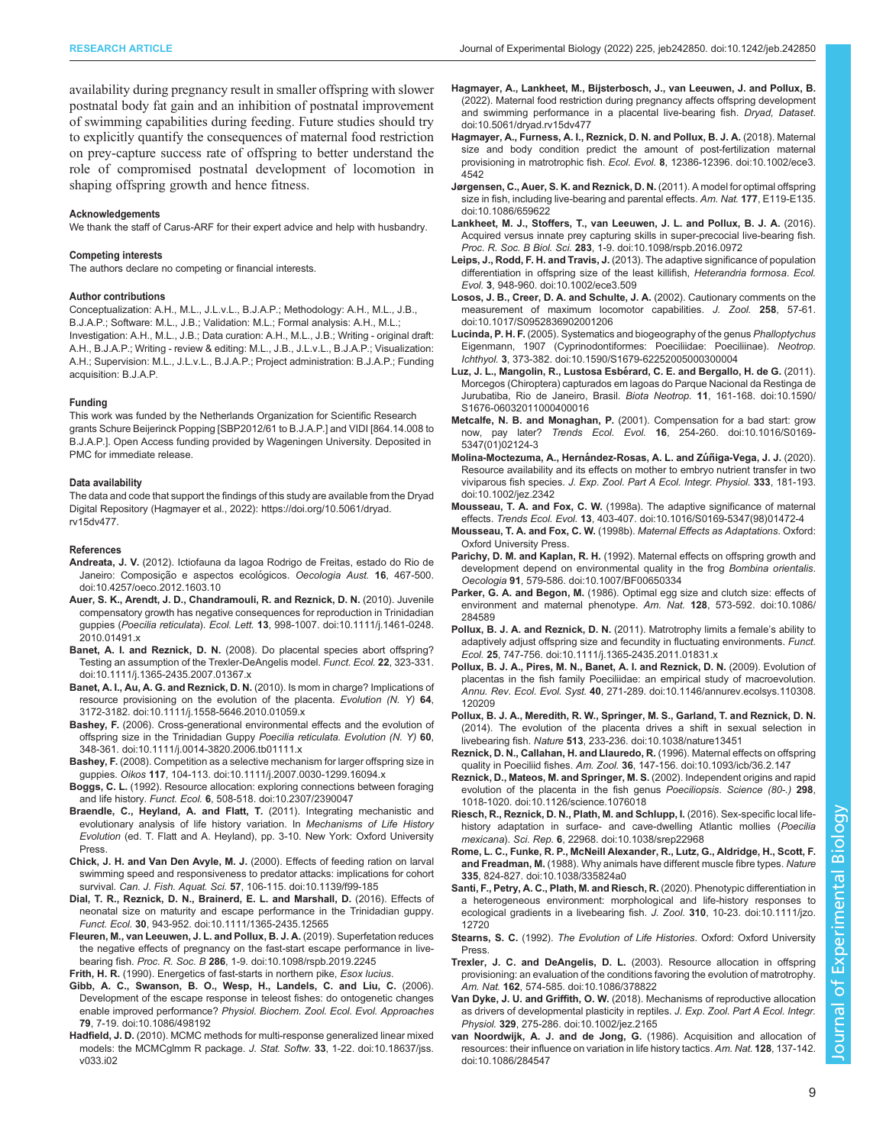<span id="page-8-0"></span>availability during pregnancy result in smaller offspring with slower postnatal body fat gain and an inhibition of postnatal improvement of swimming capabilities during feeding. Future studies should try to explicitly quantify the consequences of maternal food restriction on prey-capture success rate of offspring to better understand the role of compromised postnatal development of locomotion in shaping offspring growth and hence fitness.

#### Acknowledgements

We thank the staff of Carus-ARF for their expert advice and help with husbandry.

#### Competing interests

The authors declare no competing or financial interests.

#### Author contributions

Conceptualization: A.H., M.L., J.L.v.L., B.J.A.P.; Methodology: A.H., M.L., J.B., B.J.A.P.; Software: M.L., J.B.; Validation: M.L.; Formal analysis: A.H., M.L.; Investigation: A.H., M.L., J.B.; Data curation: A.H., M.L., J.B.; Writing - original draft: A.H., B.J.A.P.; Writing - review & editing: M.L., J.B., J.L.v.L., B.J.A.P.; Visualization: A.H.; Supervision: M.L., J.L.v.L., B.J.A.P.; Project administration: B.J.A.P.; Funding acquisition: B.J.A.P.

#### Funding

This work was funded by the Netherlands Organization for Scientific Research grants Schure Beijerinck Popping [SBP2012/61 to B.J.A.P.] and VIDI [864.14.008 to B.J.A.P.]. Open Access funding provided by Wageningen University. Deposited in PMC for immediate release.

#### Data availability

The data and code that support the findings of this study are available from the Dryad Digital Repository (Hagmayer et al., 2022): [https://doi.org/10.5061/dryad.](https://doi.org/10.5061/dryad.rv15dv477) [rv15dv477.](https://doi.org/10.5061/dryad.rv15dv477)

#### References

- Andreata, J. V. [\(2012\). Ictiofauna da lagoa Rodrigo de Freitas, estado do Rio de](https://doi.org/10.4257/oeco.2012.1603.10) Janeiro: Composição e aspectos ecológicos. Oecologia Aust. 16, 467-500. [doi:10.4257/oeco.2012.1603.10](https://doi.org/10.4257/oeco.2012.1603.10)
- [Auer, S. K., Arendt, J. D., Chandramouli, R. and Reznick, D. N.](https://doi.org/10.1111/j.1461-0248.2010.01491.x) (2010). Juvenile [compensatory growth has negative consequences for reproduction in Trinidadian](https://doi.org/10.1111/j.1461-0248.2010.01491.x) guppies (Poecilia reticulata). Ecol. Lett. 13[, 998-1007. doi:10.1111/j.1461-0248.](https://doi.org/10.1111/j.1461-0248.2010.01491.x) [2010.01491.x](https://doi.org/10.1111/j.1461-0248.2010.01491.x)
- Banet, A. I. and Reznick, D. N. [\(2008\). Do placental species abort offspring?](https://doi.org/10.1111/j.1365-2435.2007.01367.x) [Testing an assumption of the Trexler-DeAngelis model.](https://doi.org/10.1111/j.1365-2435.2007.01367.x) Funct. Ecol. 22, 323-331. [doi:10.1111/j.1365-2435.2007.01367.x](https://doi.org/10.1111/j.1365-2435.2007.01367.x)
- [Banet, A. I., Au, A. G. and Reznick, D. N.](https://doi.org/10.1111/j.1558-5646.2010.01059.x) (2010). Is mom in charge? Implications of [resource provisioning on the evolution of the placenta.](https://doi.org/10.1111/j.1558-5646.2010.01059.x) Evolution  $(N. Y)$  64, [3172-3182. doi:10.1111/j.1558-5646.2010.01059.x](https://doi.org/10.1111/j.1558-5646.2010.01059.x)
- Bashey, F. [\(2006\). Cross-generational environmental effects and the evolution of](https://doi.org/10.1111/j.0014-3820.2006.tb01111.x) [offspring size in the Trinidadian Guppy](https://doi.org/10.1111/j.0014-3820.2006.tb01111.x) Poecilia reticulata. Evolution (N. Y) 60, [348-361. doi:10.1111/j.0014-3820.2006.tb01111.x](https://doi.org/10.1111/j.0014-3820.2006.tb01111.x)
- Bashey, F. [\(2008\). Competition as a selective mechanism for larger offspring size in](https://doi.org/10.1111/j.2007.0030-1299.16094.x) guppies. Oikos 117[, 104-113. doi:10.1111/j.2007.0030-1299.16094.x](https://doi.org/10.1111/j.2007.0030-1299.16094.x)
- Boggs, C. L. [\(1992\). Resource allocation: exploring connections between foraging](https://doi.org/10.2307/2390047) and life history. Funct. Ecol. 6[, 508-518. doi:10.2307/2390047](https://doi.org/10.2307/2390047)
- Braendle, C., Heyland, A. and Flatt, T. (2011). Integrating mechanistic and evolutionary analysis of life history variation. In Mechanisms of Life History Evolution (ed. T. Flatt and A. Heyland), pp. 3-10. New York: Oxford University **Press**
- Chick, J. H. and Van Den Avyle, M. J. [\(2000\). Effects of feeding ration on larval](https://doi.org/10.1139/f99-185) [swimming speed and responsiveness to predator attacks: implications for cohort](https://doi.org/10.1139/f99-185) survival. Can. J. Fish. Aquat. Sci. 57[, 106-115. doi:10.1139/f99-185](https://doi.org/10.1139/f99-185)
- [Dial, T. R., Reznick, D. N., Brainerd, E. L. and Marshall, D.](https://doi.org/10.1111/1365-2435.12565) (2016). Effects of [neonatal size on maturity and escape performance in the Trinidadian guppy.](https://doi.org/10.1111/1365-2435.12565) Funct. Ecol. 30[, 943-952. doi:10.1111/1365-2435.12565](https://doi.org/10.1111/1365-2435.12565)
- [Fleuren, M., van Leeuwen, J. L. and Pollux, B. J. A.](https://doi.org/10.1098/rspb.2019.2245) (2019). Superfetation reduces [the negative effects of pregnancy on the fast-start escape performance in live](https://doi.org/10.1098/rspb.2019.2245)bearing fish. Proc. R. Soc. B 286[, 1-9. doi:10.1098/rspb.2019.2245](https://doi.org/10.1098/rspb.2019.2245)

Frith, H. R. (1990). Energetics of fast-starts in northern pike, Esox lucius.

- [Gibb, A. C., Swanson, B. O., Wesp, H., Landels, C. and Liu, C.](https://doi.org/10.1086/498192) (2006). [Development of the escape response in teleost fishes: do ontogenetic changes](https://doi.org/10.1086/498192) enable improved performance? [Physiol. Biochem. Zool. Ecol. Evol. Approaches](https://doi.org/10.1086/498192) 79[, 7-19. doi:10.1086/498192](https://doi.org/10.1086/498192)
- Hadfield, J. D. [\(2010\). MCMC methods for multi-response generalized linear mixed](https://doi.org/10.18637/jss.v033.i02) [models: the MCMCglmm R package.](https://doi.org/10.18637/jss.v033.i02) J. Stat. Softw. 33, 1-22. doi:10.18637/jss. [v033.i02](https://doi.org/10.18637/jss.v033.i02)
- [Hagmayer, A., Lankheet, M., Bijsterbosch, J., van Leeuwen, J. and Pollux, B.](https://doi.org/10.5061/dryad.rv15dv477) [\(2022\). Maternal food restriction during pregnancy affects offspring development](https://doi.org/10.5061/dryad.rv15dv477) [and swimming performance in a placental live-bearing fish.](https://doi.org/10.5061/dryad.rv15dv477) Dryad, Dataset. [doi:10.5061/dryad.rv15dv477](https://doi.org/10.5061/dryad.rv15dv477)
- [Hagmayer, A., Furness, A. I., Reznick, D. N. and Pollux, B. J. A.](https://doi.org/10.1002/ece3.4542) (2018). Maternal [size and body condition predict the amount of post-fertilization maternal](https://doi.org/10.1002/ece3.4542) provisioning in matrotrophic fish. Ecol. Evol. 8[, 12386-12396. doi:10.1002/ece3.](https://doi.org/10.1002/ece3.4542) [4542](https://doi.org/10.1002/ece3.4542)
- [Jørgensen, C., Auer, S. K. and Reznick, D. N.](https://doi.org/10.1086/659622) (2011). A model for optimal offspring [size in fish, including live-bearing and parental effects.](https://doi.org/10.1086/659622) Am. Nat. 177, E119-E135. [doi:10.1086/659622](https://doi.org/10.1086/659622)
- [Lankheet, M. J., Stoffers, T., van Leeuwen, J. L. and Pollux, B. J. A.](https://doi.org/10.1098/rspb.2016.0972) (2016). [Acquired versus innate prey capturing skills in super-precocial live-bearing fish.](https://doi.org/10.1098/rspb.2016.0972) Proc. R. Soc. B Biol. Sci. 283[, 1-9. doi:10.1098/rspb.2016.0972](https://doi.org/10.1098/rspb.2016.0972)
- Leips, J., Rodd, F. H. and Travis, J. [\(2013\). The adaptive significance of population](https://doi.org/10.1002/ece3.509) [differentiation in offspring size of the least killifish,](https://doi.org/10.1002/ece3.509) Heterandria formosa. Ecol. Evol. 3[, 948-960. doi:10.1002/ece3.509](https://doi.org/10.1002/ece3.509)
- [Losos, J. B., Creer, D. A. and Schulte, J. A.](https://doi.org/10.1017/S0952836902001206) (2002). Cautionary comments on the [measurement of maximum locomotor capabilities.](https://doi.org/10.1017/S0952836902001206) J. Zool. 258, 57-61. [doi:10.1017/S0952836902001206](https://doi.org/10.1017/S0952836902001206)
- Lucinda, P. H. F. [\(2005\). Systematics and biogeography of the genus](https://doi.org/10.1590/S1679-62252005000300004) Phalloptychus [Eigenmann, 1907 \(Cyprinodontiformes: Poeciliidae: Poeciliinae\).](https://doi.org/10.1590/S1679-62252005000300004) Neotrop. Ichthyol. 3[, 373-382. doi:10.1590/S1679-62252005000300004](https://doi.org/10.1590/S1679-62252005000300004)
- Luz, J. L., Mangolin, R., Lustosa Esbérard, C. E. and Bergallo, H. de G. (2011). [Morcegos \(Chiroptera\) capturados em lagoas do Parque Nacional da Restinga de](https://doi.org/10.1590/S1676-06032011000400016) [Jurubatiba, Rio de Janeiro, Brasil.](https://doi.org/10.1590/S1676-06032011000400016) Biota Neotrop. 11, 161-168. doi:10.1590/ [S1676-06032011000400016](https://doi.org/10.1590/S1676-06032011000400016)
- Metcalfe, N. B. and Monaghan, P. [\(2001\). Compensation for a bad start: grow](https://doi.org/10.1016/S0169-5347(01)02124-3) now, pay later? Trends Ecol. Evol. 16[, 254-260. doi:10.1016/S0169-](https://doi.org/10.1016/S0169-5347(01)02124-3) [5347\(01\)02124-3](https://doi.org/10.1016/S0169-5347(01)02124-3)
- Molina-Moctezuma, A., Hernández-Rosas, A. L. and Zúñiga-Vega, J. J. (2020). [Resource availability and its effects on mother to embryo nutrient transfer in two](https://doi.org/10.1002/jez.2342) viviparous fish species. [J. Exp. Zool. Part A Ecol. Integr. Physiol.](https://doi.org/10.1002/jez.2342) 333, 181-193. [doi:10.1002/jez.2342](https://doi.org/10.1002/jez.2342)
- Mousseau, T. A. and Fox, C. W. [\(1998a\). The adaptive significance of maternal](https://doi.org/10.1016/S0169-5347(98)01472-4) effects. Trends Ecol. Evol. 13[, 403-407. doi:10.1016/S0169-5347\(98\)01472-4](https://doi.org/10.1016/S0169-5347(98)01472-4)
- Mousseau, T. A. and Fox, C. W. (1998b). Maternal Effects as Adaptations. Oxford: Oxford University Press.
- Parichy, D. M. and Kaplan, R. H. [\(1992\). Maternal effects on offspring growth and](https://doi.org/10.1007/BF00650334) [development depend on environmental quality in the frog](https://doi.org/10.1007/BF00650334) Bombina orientalis. Oecologia 91[, 579-586. doi:10.1007/BF00650334](https://doi.org/10.1007/BF00650334)
- Parker, G. A. and Begon, M. [\(1986\). Optimal egg size and clutch size: effects of](https://doi.org/10.1086/284589) [environment and maternal phenotype.](https://doi.org/10.1086/284589) Am. Nat. 128, 573-592. doi:10.1086/ [284589](https://doi.org/10.1086/284589)
- [Pollux, B. J. A. and Reznick, D. N.](https://doi.org/10.1111/j.1365-2435.2011.01831.x) (2011). Matrotrophy limits a female's ability to [adaptively adjust offspring size and fecundity in fluctuating environments.](https://doi.org/10.1111/j.1365-2435.2011.01831.x) Funct. Ecol. 25[, 747-756. doi:10.1111/j.1365-2435.2011.01831.x](https://doi.org/10.1111/j.1365-2435.2011.01831.x)
- [Pollux, B. J. A., Pires, M. N., Banet, A. I. and Reznick, D. N.](https://doi.org/10.1146/annurev.ecolsys.110308.120209) (2009). Evolution of [placentas in the fish family Poeciliidae: an empirical study of macroevolution.](https://doi.org/10.1146/annurev.ecolsys.110308.120209) Annu. Rev. Ecol. Evol. Syst. 40[, 271-289. doi:10.1146/annurev.ecolsys.110308.](https://doi.org/10.1146/annurev.ecolsys.110308.120209) [120209](https://doi.org/10.1146/annurev.ecolsys.110308.120209)
- [Pollux, B. J. A., Meredith, R. W., Springer, M. S., Garland, T. and Reznick, D. N.](https://doi.org/10.1038/nature13451) [\(2014\). The evolution of the placenta drives a shift in sexual selection in](https://doi.org/10.1038/nature13451) livebearing fish. Nature 513[, 233-236. doi:10.1038/nature13451](https://doi.org/10.1038/nature13451)
- [Reznick, D. N., Callahan, H. and Llauredo, R.](https://doi.org/10.1093/icb/36.2.147) (1996). Maternal effects on offspring quality in Poeciliid fishes. Am. Zool. 36[, 147-156. doi:10.1093/icb/36.2.147](https://doi.org/10.1093/icb/36.2.147)
- [Reznick, D., Mateos, M. and Springer, M. S.](https://doi.org/10.1126/science.1076018) (2002). Independent origins and rapid [evolution of the placenta in the fish genus](https://doi.org/10.1126/science.1076018) Poeciliopsis. Science (80-.) 298, [1018-1020. doi:10.1126/science.1076018](https://doi.org/10.1126/science.1076018)
- [Riesch, R., Reznick, D. N., Plath, M. and Schlupp, I.](https://doi.org/10.1038/srep22968) (2016). Sex-specific local life[history adaptation in surface- and cave-dwelling Atlantic mollies \(](https://doi.org/10.1038/srep22968)Poecilia mexicana). Sci. Rep. 6[, 22968. doi:10.1038/srep22968](https://doi.org/10.1038/srep22968)
- [Rome, L. C., Funke, R. P., McNeill Alexander, R., Lutz, G., Aldridge, H., Scott, F.](https://doi.org/10.1038/335824a0) and Freadman, M. [\(1988\). Why animals have different muscle fibre types.](https://doi.org/10.1038/335824a0) Nature 335[, 824-827. doi:10.1038/335824a0](https://doi.org/10.1038/335824a0)
- [Santi, F., Petry, A. C., Plath, M. and Riesch, R.](https://doi.org/10.1111/jzo.12720) (2020). Phenotypic differentiation in [a heterogeneous environment: morphological and life-history responses to](https://doi.org/10.1111/jzo.12720) [ecological gradients in a livebearing fish.](https://doi.org/10.1111/jzo.12720) J. Zool. 310, 10-23. doi:10.1111/jzo. [12720](https://doi.org/10.1111/jzo.12720)
- Stearns, S. C. (1992). The Evolution of Life Histories. Oxford: Oxford University Press.
- Trexler, J. C. and DeAngelis, D. L. [\(2003\). Resource allocation in offspring](https://doi.org/10.1086/378822) [provisioning: an evaluation of the conditions favoring the evolution of matrotrophy.](https://doi.org/10.1086/378822) Am. Nat. 162[, 574-585. doi:10.1086/378822](https://doi.org/10.1086/378822)
- Van Dyke, J. U. and Griffith, O. W. [\(2018\). Mechanisms of reproductive allocation](https://doi.org/10.1002/jez.2165) [as drivers of developmental plasticity in reptiles.](https://doi.org/10.1002/jez.2165) J. Exp. Zool. Part A Ecol. Integr. Physiol. 329[, 275-286. doi:10.1002/jez.2165](https://doi.org/10.1002/jez.2165)
- [van Noordwijk, A. J. and de Jong, G.](https://doi.org/10.1086/284547) (1986). Acquisition and allocation of [resources: their influence on variation in life history tactics.](https://doi.org/10.1086/284547) Am. Nat. 128, 137-142. [doi:10.1086/284547](https://doi.org/10.1086/284547)